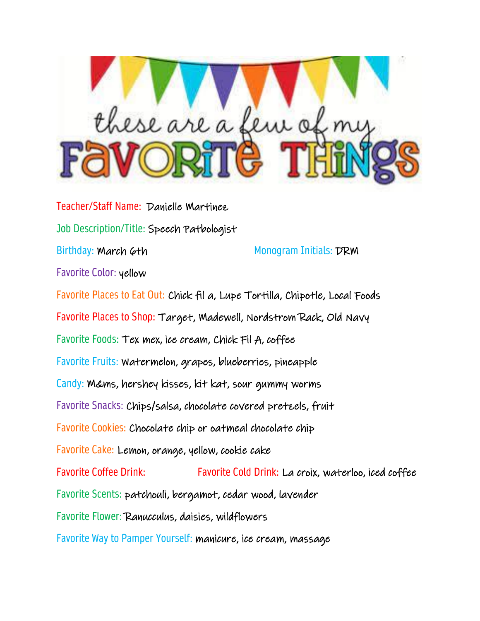

Teacher/Staff Name: Danielle Martinez Job Description/Title: Speech Patbologist Birthday: March 6th Monogram Initials: DRM Favorite Color: yellow Favorite Places to Eat Out: Chick fil a, Lupe Tortilla, Chipotle, Local Foods Favorite Places to Shop: Target, Madewell, Nordstrom Rack, Old Navy Favorite Foods: Tex mex, ice cream, Chick Fil A, coffee Favorite Fruits: Watermelon, grapes, blueberries, pineapple Candy: M&ms, hershey kisses, kit kat, sour gummy worms Favorite Snacks: Chips/salsa, chocolate covered pretzels, fruit Favorite Cookies: Chocolate chip or oatmeal chocolate chip Favorite Cake: Lemon, orange, yellow, cookie cake Favorite Coffee Drink: Favorite Cold Drink: La croix, waterloo, iced coffee Favorite Scents: patchouli, bergamot, cedar wood, lavender Favorite Flower: Ranucculus, daisies, wildflowers Favorite Way to Pamper Yourself: manicure, ice cream, massage